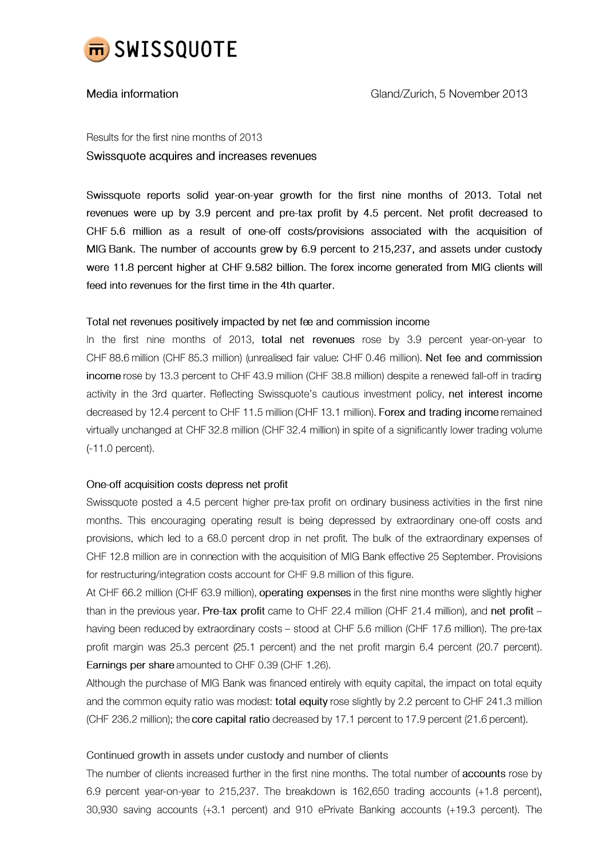

## Media information

Results for the first nine months of 2013 Swissquote acquires and increases revenues

Swissquote reports solid year-on-year growth for the first nine months of 2013. Total net revenues were up by 3.9 percent and pre-tax profit by 4.5 percent. Net profit decreased to CHF 5.6 million as a result of one-off costs/provisions associated with the acquisition of MIG Bank. The number of accounts grew by 6.9 percent to 215,237, and assets under custody were 11.8 percent higher at CHF 9.582 billion. The forex income generated from MIG clients will feed into revenues for the first time in the 4th quarter.

### Total net revenues positively impacted by net fee and commission income

In the first nine months of 2013, total net revenues rose by 3.9 percent year-on-year to CHF 88.6 million (CHF 85.3 million) (unrealised fair value: CHF 0.46 million). Net fee and commission income rose by 13.3 percent to CHF 43.9 million (CHF 38.8 million) despite a renewed fall-off in trading activity in the 3rd quarter. Reflecting Swissquote's cautious investment policy, net interest income decreased by 12.4 percent to CHF 11.5 million (CHF 13.1 million). Forex and trading income remained virtually unchanged at CHF 32.8 million (CHF 32.4 million) in spite of a significantly lower trading volume  $(-11.0$  percent).

# One-off acquisition costs depress net profit

Swissquote posted a 4.5 percent higher pre-tax profit on ordinary business activities in the first nine months. This encouraging operating result is being depressed by extraordinary one-off costs and provisions, which led to a 68.0 percent drop in net profit. The bulk of the extraordinary expenses of CHF 12.8 million are in connection with the acquisition of MIG Bank effective 25 September. Provisions for restructuring/integration costs account for CHF 9.8 million of this figure.

At CHF 66.2 million (CHF 63.9 million), operating expenses in the first nine months were slightly higher than in the previous year. Pre-tax profit came to CHF 22.4 million (CHF 21.4 million), and net profit having been reduced by extraordinary costs - stood at CHF 5.6 million (CHF 17.6 million). The pre-tax profit margin was 25.3 percent (25.1 percent) and the net profit margin 6.4 percent (20.7 percent). Earnings per share amounted to CHF 0.39 (CHF 1.26).

Although the purchase of MIG Bank was financed entirely with equity capital, the impact on total equity and the common equity ratio was modest: total equity rose slightly by 2.2 percent to CHF 241.3 million (CHF 236.2 million); the core capital ratio decreased by 17.1 percent to 17.9 percent (21.6 percent).

# Continued growth in assets under custody and number of clients

The number of clients increased further in the first nine months. The total number of accounts rose by 6.9 percent year-on-year to 215,237. The breakdown is 162,650 trading accounts (+1.8 percent), 30,930 saving accounts (+3.1 percent) and 910 ePrivate Banking accounts (+19.3 percent). The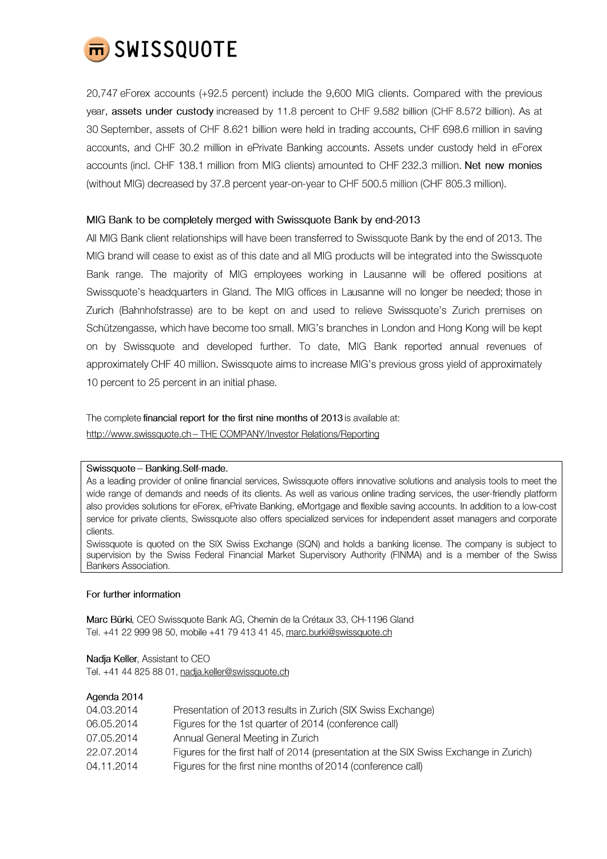

20,747 eForex accounts (+92.5 percent) include the 9,600 MIG clients. Compared with the previous year, assets under custody increased by 11.8 percent to CHF 9.582 billion (CHF 8.572 billion). As at 30 September, assets of CHF 8.621 billion were held in trading accounts, CHF 698.6 million in saving accounts, and CHF 30.2 million in ePrivate Banking accounts. Assets under custody held in eForex accounts (incl. CHF 138.1 million from MIG clients) amounted to CHF 232.3 million. Net new monies (without MIG) decreased by 37.8 percent year-on-year to CHF 500.5 million (CHF 805.3 million).

### MIG Bank to be completely merged with Swissquote Bank by end-2013

All MIG Bank client relationships will have been transferred to Swissquote Bank by the end of 2013. The MIG brand will cease to exist as of this date and all MIG products will be integrated into the Swissquote Bank range. The majority of MIG employees working in Lausanne will be offered positions at Swissquote's headquarters in Gland. The MIG offices in Lausanne will no longer be needed; those in Zurich (Bahnhofstrasse) are to be kept on and used to relieve Swissquote's Zurich premises on Schützengasse, which have become too small. MIG's branches in London and Hong Kong will be kept on by Swissquote and developed further. To date, MIG Bank reported annual revenues of approximately CHF 40 million. Swissquote aims to increase MIG's previous gross yield of approximately 10 percent to 25 percent in an initial phase.

The complete financial report for the first nine months of 2013 is available at: http://www.swissquote.ch - THE COMPANY/Investor Relations/Reporting

#### Swissquote - Banking.Self-made.

As a leading provider of online financial services, Swissquote offers innovative solutions and analysis tools to meet the wide range of demands and needs of its clients. As well as various online trading services, the user-friendly platform also provides solutions for eForex, ePrivate Banking, eMortgage and flexible saving accounts. In addition to a low-cost service for private clients, Swissquote also offers specialized services for independent asset managers and corporate clients.

Swissquote is quoted on the SIX Swiss Exchange (SQN) and holds a banking license. The company is subject to supervision by the Swiss Federal Financial Market Supervisory Authority (FINMA) and is a member of the Swiss Bankers Association.

#### For further information

Marc Bürki, CEO Swissquote Bank AG, Chemin de la Crétaux 33, CH-1196 Gland Tel. +41 22 999 98 50, mobile +41 79 413 41 45, marc.burki@swissquote.ch

Nadja Keller, Assistant to CEO Tel. +41 44 825 88 01, nadja.keller@swissquote.ch

### Agenda 2014

| 04.03.2014 | Presentation of 2013 results in Zurich (SIX Swiss Exchange)                           |
|------------|---------------------------------------------------------------------------------------|
| 06.05.2014 | Figures for the 1st quarter of 2014 (conference call)                                 |
| 07.05.2014 | Annual General Meeting in Zurich                                                      |
| 22.07.2014 | Figures for the first half of 2014 (presentation at the SIX Swiss Exchange in Zurich) |
| 04.11.2014 | Figures for the first nine months of 2014 (conference call)                           |